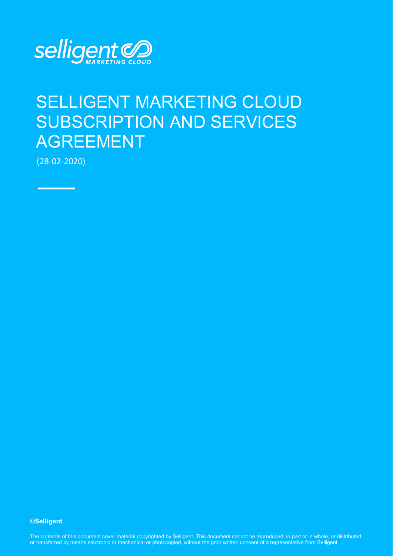

# SELLIGENT MARKETING CLOUD SUBSCRIPTION AND SERVICES AGREEMENT

(28-02-2020)

**©Selligent** 

The contents of this document cover material copyrighted by Selligent. This document cannot be reproduced, in part or in whole, or distributed or transferred by means electronic or mechanical or photocopied, without the prior written consent of a representative from Selligent.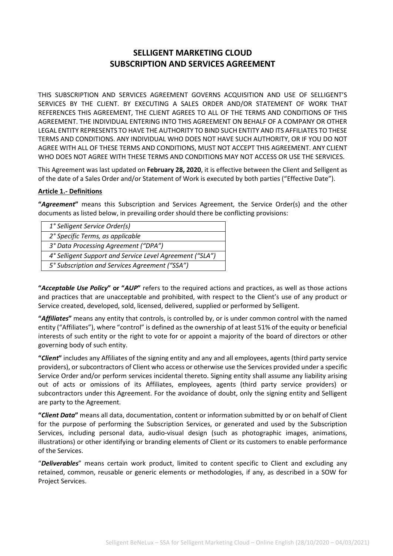# **SELLIGENT MARKETING CLOUD SUBSCRIPTION AND SERVICES AGREEMENT**

THIS SUBSCRIPTION AND SERVICES AGREEMENT GOVERNS ACQUISITION AND USE OF SELLIGENT'S SERVICES BY THE CLIENT. BY EXECUTING A SALES ORDER AND/OR STATEMENT OF WORK THAT REFERENCES THIS AGREEMENT, THE CLIENT AGREES TO ALL OF THE TERMS AND CONDITIONS OF THIS AGREEMENT. THE INDIVIDUAL ENTERING INTO THIS AGREEMENT ON BEHALF OF A COMPANY OR OTHER LEGAL ENTITY REPRESENTS TO HAVE THE AUTHORITY TO BIND SUCH ENTITY AND ITS AFFILIATES TO THESE TERMS AND CONDITIONS. ANY INDIVIDUAL WHO DOES NOT HAVE SUCH AUTHORITY, OR IF YOU DO NOT AGREE WITH ALL OF THESE TERMS AND CONDITIONS, MUST NOT ACCEPT THIS AGREEMENT. ANY CLIENT WHO DOES NOT AGREE WITH THESE TERMS AND CONDITIONS MAY NOT ACCESS OR USE THE SERVICES.

This Agreement was last updated on **February 28, 2020**, it is effective between the Client and Selligent as of the date of a Sales Order and/or Statement of Work is executed by both parties ("Effective Date").

# **Article 1.- Definitions**

**"***Agreement***"** means this Subscription and Services Agreement, the Service Order(s) and the other documents as listed below, in prevailing order should there be conflicting provisions:

**"***Acceptable Use Policy***" or "***AUP***"** refers to the required actions and practices, as well as those actions and practices that are unacceptable and prohibited, with respect to the Client's use of any product or Service created, developed, sold, licensed, delivered, supplied or performed by Selligent.

**"***Affiliates***"** means any entity that controls, is controlled by, or is under common control with the named entity ("Affiliates"), where "control" is defined as the ownership of at least 51% of the equity or beneficial interests of such entity or the right to vote for or appoint a majority of the board of directors or other governing body of such entity.

**"***Client***"** includes any Affiliates of the signing entity and any and all employees, agents (third party service providers), or subcontractors of Client who access or otherwise use the Services provided under a specific Service Order and/or perform services incidental thereto. Signing entity shall assume any liability arising out of acts or omissions of its Affiliates, employees, agents (third party service providers) or subcontractors under this Agreement. For the avoidance of doubt, only the signing entity and Selligent are party to the Agreement.

**"***Client Data***"** means all data, documentation, content or information submitted by or on behalf of Client for the purpose of performing the Subscription Services, or generated and used by the Subscription Services, including personal data, audio-visual design (such as photographic images, animations, illustrations) or other identifying or branding elements of Client or its customers to enable performance of the Services.

"*Deliverables*" means certain work product, limited to content specific to Client and excluding any retained, common, reusable or generic elements or methodologies, if any, as described in a SOW for Project Services.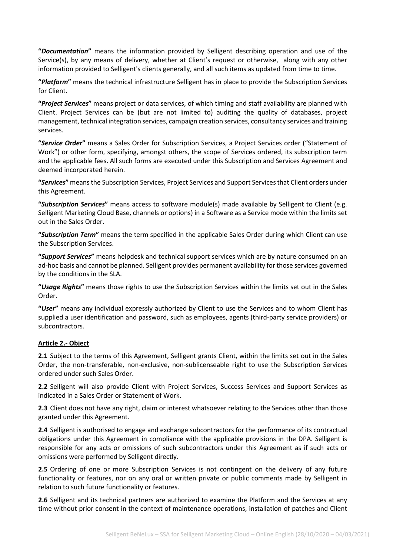**"***Documentation***"** means the information provided by Selligent describing operation and use of the Service(s), by any means of delivery, whether at Client's request or otherwise, along with any other information provided to Selligent's clients generally, and all such items as updated from time to time.

**"***Platform***"** means the technical infrastructure Selligent has in place to provide the Subscription Services for Client.

**"***Project Services***"** means project or data services, of which timing and staff availability are planned with Client. Project Services can be (but are not limited to) auditing the quality of databases, project management, technical integration services, campaign creation services, consultancy services and training services.

**"***Service Order***"** means a Sales Order for Subscription Services, a Project Services order ("Statement of Work") or other form, specifying, amongst others, the scope of Services ordered, its subscription term and the applicable fees. All such forms are executed under this Subscription and Services Agreement and deemed incorporated herein.

**"***Services***"** means the Subscription Services, Project Services and Support Services that Client orders under this Agreement.

**"***Subscription Services***"** means access to software module(s) made available by Selligent to Client (e.g. Selligent Marketing Cloud Base, channels or options) in a Software as a Service mode within the limits set out in the Sales Order.

**"***Subscription Term***"** means the term specified in the applicable Sales Order during which Client can use the Subscription Services.

**"***Support Services***"** means helpdesk and technical support services which are by nature consumed on an ad-hoc basis and cannot be planned. Selligent provides permanent availability for those services governed by the conditions in the SLA.

**"***Usage Rights***"** means those rights to use the Subscription Services within the limits set out in the Sales Order.

**"***User***"** means any individual expressly authorized by Client to use the Services and to whom Client has supplied a user identification and password, such as employees, agents (third-party service providers) or subcontractors.

#### **Article 2.- Object**

**2.1** Subject to the terms of this Agreement, Selligent grants Client, within the limits set out in the Sales Order, the non-transferable, non-exclusive, non-sublicenseable right to use the Subscription Services ordered under such Sales Order.

**2.2** Selligent will also provide Client with Project Services, Success Services and Support Services as indicated in a Sales Order or Statement of Work.

**2.3** Client does not have any right, claim or interest whatsoever relating to the Services other than those granted under this Agreement.

**2.4** Selligent is authorised to engage and exchange subcontractors for the performance of its contractual obligations under this Agreement in compliance with the applicable provisions in the DPA. Selligent is responsible for any acts or omissions of such subcontractors under this Agreement as if such acts or omissions were performed by Selligent directly.

**2.5** Ordering of one or more Subscription Services is not contingent on the delivery of any future functionality or features, nor on any oral or written private or public comments made by Selligent in relation to such future functionality or features.

**2.6** Selligent and its technical partners are authorized to examine the Platform and the Services at any time without prior consent in the context of maintenance operations, installation of patches and Client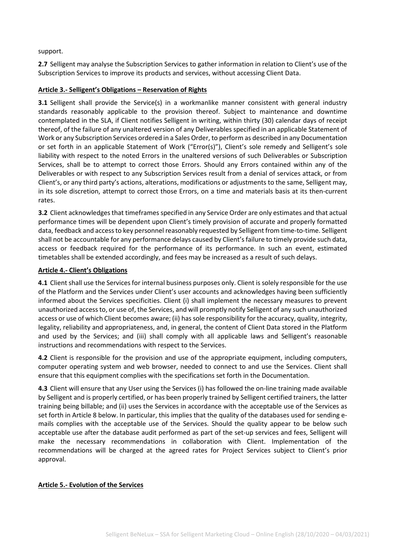### support.

**2.7** Selligent may analyse the Subscription Services to gather information in relation to Client's use of the Subscription Services to improve its products and services, without accessing Client Data.

### **Article 3.- Selligent's Obligations – Reservation of Rights**

**3.1** Selligent shall provide the Service(s) in a workmanlike manner consistent with general industry standards reasonably applicable to the provision thereof. Subject to maintenance and downtime contemplated in the SLA, if Client notifies Selligent in writing, within thirty (30) calendar days of receipt thereof, of the failure of any unaltered version of any Deliverables specified in an applicable Statement of Work or any Subscription Services ordered in a Sales Order, to perform as described in any Documentation or set forth in an applicable Statement of Work ("Error(s)"), Client's sole remedy and Selligent's sole liability with respect to the noted Errors in the unaltered versions of such Deliverables or Subscription Services, shall be to attempt to correct those Errors. Should any Errors contained within any of the Deliverables or with respect to any Subscription Services result from a denial of services attack, or from Client's, or any third party's actions, alterations, modifications or adjustments to the same, Selligent may, in its sole discretion, attempt to correct those Errors, on a time and materials basis at its then-current rates.

**3.2** Client acknowledges that timeframes specified in any Service Order are only estimates and that actual performance times will be dependent upon Client's timely provision of accurate and properly formatted data, feedback and access to key personnel reasonably requested by Selligent from time-to-time. Selligent shall not be accountable for any performance delays caused by Client's failure to timely provide such data, access or feedback required for the performance of its performance. In such an event, estimated timetables shall be extended accordingly, and fees may be increased as a result of such delays.

# **Article 4.- Client's Obligations**

**4.1** Client shall use the Services for internal business purposes only. Client is solely responsible for the use of the Platform and the Services under Client's user accounts and acknowledges having been sufficiently informed about the Services specificities. Client (i) shall implement the necessary measures to prevent unauthorized access to, or use of, the Services, and will promptly notify Selligent of any such unauthorized access or use of which Client becomes aware; (ii) has sole responsibility for the accuracy, quality, integrity, legality, reliability and appropriateness, and, in general, the content of Client Data stored in the Platform and used by the Services; and (iii) shall comply with all applicable laws and Selligent's reasonable instructions and recommendations with respect to the Services.

**4.2** Client is responsible for the provision and use of the appropriate equipment, including computers, computer operating system and web browser, needed to connect to and use the Services. Client shall ensure that this equipment complies with the specifications set forth in the Documentation.

**4.3** Client will ensure that any User using the Services (i) has followed the on-line training made available by Selligent and is properly certified, or has been properly trained by Selligent certified trainers, the latter training being billable; and (ii) uses the Services in accordance with the acceptable use of the Services as set forth in Article 8 below. In particular, this implies that the quality of the databases used for sending emails complies with the acceptable use of the Services. Should the quality appear to be below such acceptable use after the database audit performed as part of the set-up services and fees, Selligent will make the necessary recommendations in collaboration with Client. Implementation of the recommendations will be charged at the agreed rates for Project Services subject to Client's prior approval.

# **Article 5.- Evolution of the Services**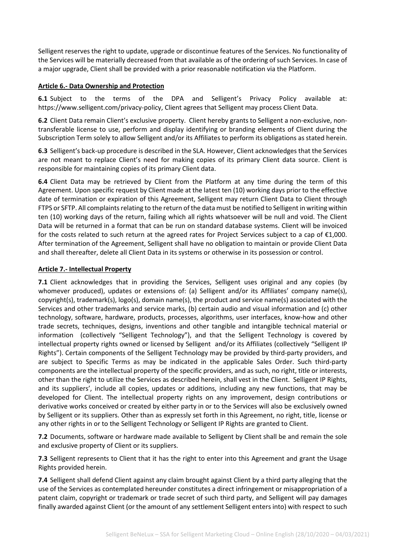Selligent reserves the right to update, upgrade or discontinue features of the Services. No functionality of the Services will be materially decreased from that available as of the ordering of such Services. In case of a major upgrade, Client shall be provided with a prior reasonable notification via the Platform.

### **Article 6.- Data Ownership and Protection**

**6.1** Subject to the terms of the DPA and Selligent's Privacy Policy available at: [https://www.selligent.com/privacy-policy,](https://www.selligent.com/privacy-policy) Client agrees that Selligent may process Client Data.

**6.2** Client Data remain Client's exclusive property. Client hereby grants to Selligent a non-exclusive, nontransferable license to use, perform and display identifying or branding elements of Client during the Subscription Term solely to allow Selligent and/or its Affiliates to perform its obligations as stated herein.

**6.3** Selligent's back-up procedure is described in the SLA. However, Client acknowledges that the Services are not meant to replace Client's need for making copies of its primary Client data source. Client is responsible for maintaining copies of its primary Client data.

**6.4** Client Data may be retrieved by Client from the Platform at any time during the term of this Agreement. Upon specific request by Client made at the latest ten (10) working days prior to the effective date of termination or expiration of this Agreement, Selligent may return Client Data to Client through FTPS or SFTP. All complaints relating to the return of the data must be notified to Selligent in writing within ten (10) working days of the return, failing which all rights whatsoever will be null and void. The Client Data will be returned in a format that can be run on standard database systems. Client will be invoiced for the costs related to such return at the agreed rates for Project Services subject to a cap of  $\epsilon$ 1,000. After termination of the Agreement, Selligent shall have no obligation to maintain or provide Client Data and shall thereafter, delete all Client Data in its systems or otherwise in its possession or control.

# **Article 7.- Intellectual Property**

**7.1** Client acknowledges that in providing the Services, Selligent uses original and any copies (by whomever produced), updates or extensions of: (a) Selligent and/or its Affiliates' company name(s), copyright(s), trademark(s), logo(s), domain name(s), the product and service name(s) associated with the Services and other trademarks and service marks, (b) certain audio and visual information and (c) other technology, software, hardware, products, processes, algorithms, user interfaces, know-how and other trade secrets, techniques, designs, inventions and other tangible and intangible technical material or information (collectively "Selligent Technology"), and that the Selligent Technology is covered by intellectual property rights owned or licensed by Selligent and/or its Affiliates (collectively "Selligent IP Rights"). Certain components of the Selligent Technology may be provided by third-party providers, and are subject to Specific Terms as may be indicated in the applicable Sales Order. Such third-party components are the intellectual property of the specific providers, and as such, no right, title or interests, other than the right to utilize the Services as described herein, shall vest in the Client. Selligent IP Rights, and its suppliers', include all copies, updates or additions, including any new functions, that may be developed for Client. The intellectual property rights on any improvement, design contributions or derivative works conceived or created by either party in or to the Services will also be exclusively owned by Selligent or its suppliers. Other than as expressly set forth in this Agreement, no right, title, license or any other rights in or to the Selligent Technology or Selligent IP Rights are granted to Client.

**7.2** Documents, software or hardware made available to Selligent by Client shall be and remain the sole and exclusive property of Client or its suppliers.

**7.3** Selligent represents to Client that it has the right to enter into this Agreement and grant the Usage Rights provided herein.

**7.4** Selligent shall defend Client against any claim brought against Client by a third party alleging that the use of the Services as contemplated hereunder constitutes a direct infringement or misappropriation of a patent claim, copyright or trademark or trade secret of such third party, and Selligent will pay damages finally awarded against Client (or the amount of any settlement Selligent enters into) with respect to such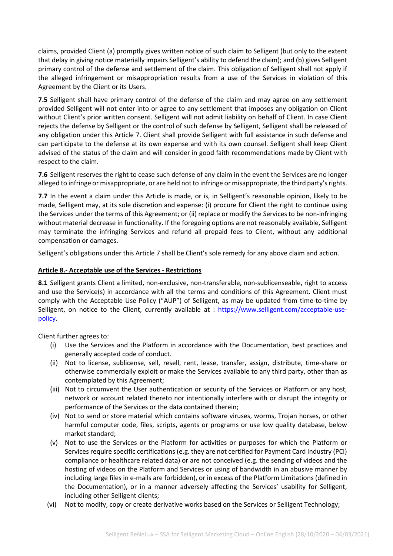claims, provided Client (a) promptly gives written notice of such claim to Selligent (but only to the extent that delay in giving notice materially impairs Selligent's ability to defend the claim); and (b) gives Selligent primary control of the defense and settlement of the claim. This obligation of Selligent shall not apply if the alleged infringement or misappropriation results from a use of the Services in violation of this Agreement by the Client or its Users.

**7.5** Selligent shall have primary control of the defense of the claim and may agree on any settlement provided Selligent will not enter into or agree to any settlement that imposes any obligation on Client without Client's prior written consent. Selligent will not admit liability on behalf of Client. In case Client rejects the defense by Selligent or the control of such defense by Selligent, Selligent shall be released of any obligation under this Article 7. Client shall provide Selligent with full assistance in such defense and can participate to the defense at its own expense and with its own counsel. Selligent shall keep Client advised of the status of the claim and will consider in good faith recommendations made by Client with respect to the claim.

**7.6** Selligent reserves the right to cease such defense of any claim in the event the Services are no longer alleged to infringe or misappropriate, or are held not to infringe or misappropriate, the third party's rights.

**7.7** In the event a claim under this Article is made, or is, in Selligent's reasonable opinion, likely to be made, Selligent may, at its sole discretion and expense: (i) procure for Client the right to continue using the Services under the terms of this Agreement; or (ii) replace or modify the Services to be non-infringing without material decrease in functionality. If the foregoing options are not reasonably available, Selligent may terminate the infringing Services and refund all prepaid fees to Client, without any additional compensation or damages.

Selligent's obligations under this Article 7 shall be Client's sole remedy for any above claim and action.

# **Article 8.- Acceptable use of the Services - Restrictions**

**8.1** Selligent grants Client a limited, non-exclusive, non-transferable, non-sublicenseable, right to access and use the Service(s) in accordance with all the terms and conditions of this Agreement. Client must comply with the Acceptable Use Policy ("AUP") of Selligent, as may be updated from time-to-time by Selligent, on notice to the Client, currently available at : [https://www.selligent.com/acceptable-use](https://www.selligent.com/acceptable-use-policy)[policy.](https://www.selligent.com/acceptable-use-policy)

Client further agrees to:

- (i) Use the Services and the Platform in accordance with the Documentation, best practices and generally accepted code of conduct.
- (ii) Not to license, sublicense, sell, resell, rent, lease, transfer, assign, distribute, time-share or otherwise commercially exploit or make the Services available to any third party, other than as contemplated by this Agreement;
- (iii) Not to circumvent the User authentication or security of the Services or Platform or any host, network or account related thereto nor intentionally interfere with or disrupt the integrity or performance of the Services or the data contained therein;
- (iv) Not to send or store material which contains software viruses, worms, Trojan horses, or other harmful computer code, files, scripts, agents or programs or use low quality database, below market standard;
- (v) Not to use the Services or the Platform for activities or purposes for which the Platform or Services require specific certifications (e.g. they are not certified for Payment Card Industry (PCI) compliance or healthcare related data) or are not conceived (e.g. the sending of videos and the hosting of videos on the Platform and Services or using of bandwidth in an abusive manner by including large files in e-mails are forbidden), or in excess of the Platform Limitations (defined in the Documentation), or in a manner adversely affecting the Services' usability for Selligent, including other Selligent clients;
- (vi) Not to modify, copy or create derivative works based on the Services or Selligent Technology;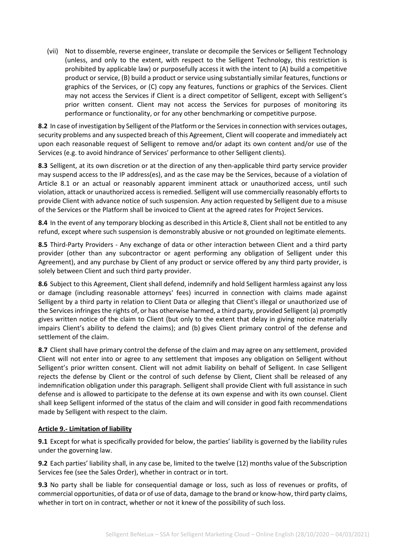(vii) Not to dissemble, reverse engineer, translate or decompile the Services or Selligent Technology (unless, and only to the extent, with respect to the Selligent Technology, this restriction is prohibited by applicable law) or purposefully access it with the intent to (A) build a competitive product or service, (B) build a product or service using substantially similar features, functions or graphics of the Services, or (C) copy any features, functions or graphics of the Services. Client may not access the Services if Client is a direct competitor of Selligent, except with Selligent's prior written consent. Client may not access the Services for purposes of monitoring its performance or functionality, or for any other benchmarking or competitive purpose.

**8.2** In case of investigation by Selligent of the Platform or the Services in connection with services outages, security problems and any suspected breach of this Agreement, Client will cooperate and immediately act upon each reasonable request of Selligent to remove and/or adapt its own content and/or use of the Services (e.g. to avoid hindrance of Services' performance to other Selligent clients).

**8.3** Selligent, at its own discretion or at the direction of any then-applicable third party service provider may suspend access to the IP address(es), and as the case may be the Services, because of a violation of Article 8.1 or an actual or reasonably apparent imminent attack or unauthorized access, until such violation, attack or unauthorized access is remedied. Selligent will use commercially reasonably efforts to provide Client with advance notice of such suspension. Any action requested by Selligent due to a misuse of the Services or the Platform shall be invoiced to Client at the agreed rates for Project Services.

**8.4** In the event of any temporary blocking as described in this Article 8, Client shall not be entitled to any refund, except where such suspension is demonstrably abusive or not grounded on legitimate elements.

**8.5** Third-Party Providers - Any exchange of data or other interaction between Client and a third party provider (other than any subcontractor or agent performing any obligation of Selligent under this Agreement), and any purchase by Client of any product or service offered by any third party provider, is solely between Client and such third party provider.

**8.6** Subject to this Agreement, Client shall defend, indemnify and hold Selligent harmless against any loss or damage (including reasonable attorneys' fees) incurred in connection with claims made against Selligent by a third party in relation to Client Data or alleging that Client's illegal or unauthorized use of the Services infringes the rights of, or has otherwise harmed, a third party, provided Selligent (a) promptly gives written notice of the claim to Client (but only to the extent that delay in giving notice materially impairs Client's ability to defend the claims); and (b) gives Client primary control of the defense and settlement of the claim.

**8.7** Client shall have primary control the defense of the claim and may agree on any settlement, provided Client will not enter into or agree to any settlement that imposes any obligation on Selligent without Selligent's prior written consent. Client will not admit liability on behalf of Selligent. In case Selligent rejects the defense by Client or the control of such defense by Client, Client shall be released of any indemnification obligation under this paragraph. Selligent shall provide Client with full assistance in such defense and is allowed to participate to the defense at its own expense and with its own counsel. Client shall keep Selligent informed of the status of the claim and will consider in good faith recommendations made by Selligent with respect to the claim.

#### **Article 9.- Limitation of liability**

**9.1** Except for what is specifically provided for below, the parties' liability is governed by the liability rules under the governing law.

**9.2** Each parties' liability shall, in any case be, limited to the twelve (12) months value of the Subscription Services fee (see the Sales Order), whether in contract or in tort.

**9.3** No party shall be liable for consequential damage or loss, such as loss of revenues or profits, of commercial opportunities, of data or of use of data, damage to the brand or know-how, third party claims, whether in tort on in contract, whether or not it knew of the possibility of such loss.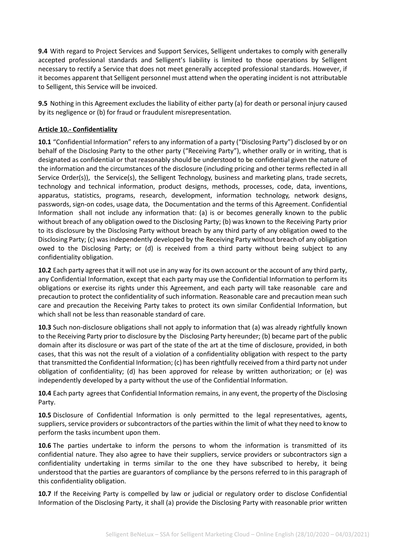**9.4** With regard to Project Services and Support Services, Selligent undertakes to comply with generally accepted professional standards and Selligent's liability is limited to those operations by Selligent necessary to rectify a Service that does not meet generally accepted professional standards. However, if it becomes apparent that Selligent personnel must attend when the operating incident is not attributable to Selligent, this Service will be invoiced.

**9.5** Nothing in this Agreement excludes the liability of either party (a) for death or personal injury caused by its negligence or (b) for fraud or fraudulent misrepresentation.

# **Article 10.- Confidentiality**

**10.1** "Confidential Information" refers to any information of a party ("Disclosing Party") disclosed by or on behalf of the Disclosing Party to the other party ("Receiving Party"), whether orally or in writing, that is designated as confidential or that reasonably should be understood to be confidential given the nature of the information and the circumstances of the disclosure (including pricing and other terms reflected in all Service Order(s)), the Service(s), the Selligent Technology, business and marketing plans, trade secrets, technology and technical information, product designs, methods, processes, code, data, inventions, apparatus, statistics, programs, research, development, information technology, network designs, passwords, sign-on codes, usage data, the Documentation and the terms of this Agreement. Confidential Information shall not include any information that: (a) is or becomes generally known to the public without breach of any obligation owed to the Disclosing Party; (b) was known to the Receiving Party prior to its disclosure by the Disclosing Party without breach by any third party of any obligation owed to the Disclosing Party; (c) was independently developed by the Receiving Party without breach of any obligation owed to the Disclosing Party; or (d) is received from a third party without being subject to any confidentiality obligation.

**10.2** Each party agrees that it will not use in any way for its own account or the account of any third party, any Confidential Information, except that each party may use the Confidential Information to perform its obligations or exercise its rights under this Agreement, and each party will take reasonable care and precaution to protect the confidentiality of such information. Reasonable care and precaution mean such care and precaution the Receiving Party takes to protect its own similar Confidential Information, but which shall not be less than reasonable standard of care.

**10.3** Such non-disclosure obligations shall not apply to information that (a) was already rightfully known to the Receiving Party prior to disclosure by the Disclosing Party hereunder; (b) became part of the public domain after its disclosure or was part of the state of the art at the time of disclosure, provided, in both cases, that this was not the result of a violation of a confidentiality obligation with respect to the party that transmitted the Confidential Information; (c) has been rightfully received from a third party not under obligation of confidentiality; (d) has been approved for release by written authorization; or (e) was independently developed by a party without the use of the Confidential Information.

10.4 Each party agrees that Confidential Information remains, in any event, the property of the Disclosing Party.

**10.5** Disclosure of Confidential Information is only permitted to the legal representatives, agents, suppliers, service providers or subcontractors of the parties within the limit of what they need to know to perform the tasks incumbent upon them.

**10.6** The parties undertake to inform the persons to whom the information is transmitted of its confidential nature. They also agree to have their suppliers, service providers or subcontractors sign a confidentiality undertaking in terms similar to the one they have subscribed to hereby, it being understood that the parties are guarantors of compliance by the persons referred to in this paragraph of this confidentiality obligation.

**10.7** If the Receiving Party is compelled by law or judicial or regulatory order to disclose Confidential Information of the Disclosing Party, it shall (a) provide the Disclosing Party with reasonable prior written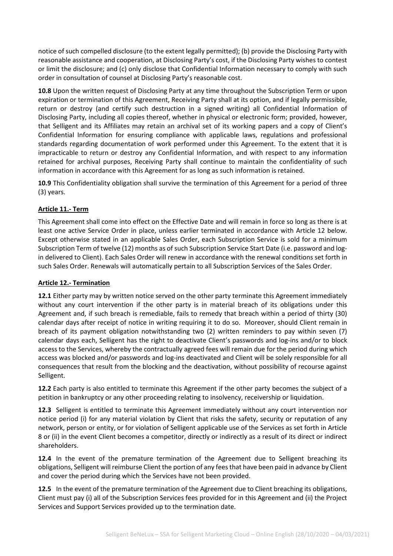notice of such compelled disclosure (to the extent legally permitted); (b) provide the Disclosing Party with reasonable assistance and cooperation, at Disclosing Party's cost, if the Disclosing Party wishes to contest or limit the disclosure; and (c) only disclose that Confidential Information necessary to comply with such order in consultation of counsel at Disclosing Party's reasonable cost.

**10.8** Upon the written request of Disclosing Party at any time throughout the Subscription Term or upon expiration or termination of this Agreement, Receiving Party shall at its option, and if legally permissible, return or destroy (and certify such destruction in a signed writing) all Confidential Information of Disclosing Party, including all copies thereof, whether in physical or electronic form; provided, however, that Selligent and its Affiliates may retain an archival set of its working papers and a copy of Client's Confidential Information for ensuring compliance with applicable laws, regulations and professional standards regarding documentation of work performed under this Agreement. To the extent that it is impracticable to return or destroy any Confidential Information, and with respect to any information retained for archival purposes, Receiving Party shall continue to maintain the confidentiality of such information in accordance with this Agreement for as long as such information is retained.

**10.9** This Confidentiality obligation shall survive the termination of this Agreement for a period of three (3) years.

# **Article 11.- Term**

This Agreement shall come into effect on the Effective Date and will remain in force so long as there is at least one active Service Order in place, unless earlier terminated in accordance with Article 12 below. Except otherwise stated in an applicable Sales Order, each Subscription Service is sold for a minimum Subscription Term of twelve (12) months as of such Subscription Service Start Date (i.e. password and login delivered to Client). Each Sales Order will renew in accordance with the renewal conditions set forth in such Sales Order. Renewals will automatically pertain to all Subscription Services of the Sales Order.

#### **Article 12.- Termination**

**12.1** Either party may by written notice served on the other party terminate this Agreement immediately without any court intervention if the other party is in material breach of its obligations under this Agreement and, if such breach is remediable, fails to remedy that breach within a period of thirty (30) calendar days after receipt of notice in writing requiring it to do so. Moreover, should Client remain in breach of its payment obligation notwithstanding two (2) written reminders to pay within seven (7) calendar days each, Selligent has the right to deactivate Client's passwords and log-ins and/or to block access to the Services, whereby the contractually agreed fees will remain due for the period during which access was blocked and/or passwords and log-ins deactivated and Client will be solely responsible for all consequences that result from the blocking and the deactivation, without possibility of recourse against Selligent.

**12.2** Each party is also entitled to terminate this Agreement if the other party becomes the subject of a petition in bankruptcy or any other proceeding relating to insolvency, receivership or liquidation.

**12.3** Selligent is entitled to terminate this Agreement immediately without any court intervention nor notice period (i) for any material violation by Client that risks the safety, security or reputation of any network, person or entity, or for violation of Selligent applicable use of the Services as set forth in Article 8 or (ii) in the event Client becomes a competitor, directly or indirectly as a result of its direct or indirect shareholders.

**12.4** In the event of the premature termination of the Agreement due to Selligent breaching its obligations, Selligent will reimburse Client the portion of any fees that have been paid in advance by Client and cover the period during which the Services have not been provided.

**12.5** In the event of the premature termination of the Agreement due to Client breaching its obligations, Client must pay (i) all of the Subscription Services fees provided for in this Agreement and (ii) the Project Services and Support Services provided up to the termination date.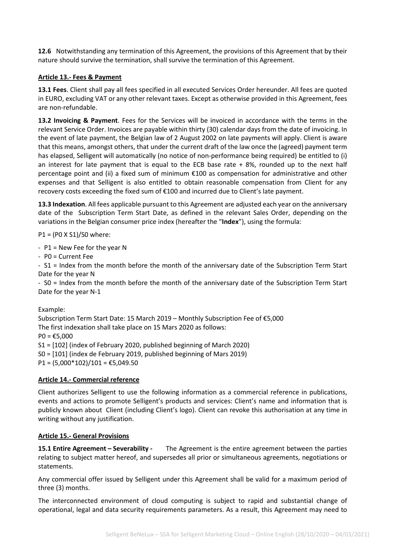**12.6** Notwithstanding any termination of this Agreement, the provisions of this Agreement that by their nature should survive the termination, shall survive the termination of this Agreement.

# **Article 13.- Fees & Payment**

**13.1 Fees**. Client shall pay all fees specified in all executed Services Order hereunder. All fees are quoted in EURO, excluding VAT or any other relevant taxes. Except as otherwise provided in this Agreement, fees are non-refundable.

**13.2 Invoicing & Payment**. Fees for the Services will be invoiced in accordance with the terms in the relevant Service Order. Invoices are payable within thirty (30) calendar days from the date of invoicing. In the event of late payment, the Belgian law of 2 August 2002 on late payments will apply. Client is aware that this means, amongst others, that under the current draft of the law once the (agreed) payment term has elapsed, Selligent will automatically (no notice of non-performance being required) be entitled to (i) an interest for late payment that is equal to the ECB base rate  $+ 8%$ , rounded up to the next half percentage point and (ii) a fixed sum of minimum €100 as compensation for administrative and other expenses and that Selligent is also entitled to obtain reasonable compensation from Client for any recovery costs exceeding the fixed sum of €100 and incurred due to Client's late payment.

**13.3 Indexation**. All fees applicable pursuant to this Agreement are adjusted each year on the anniversary date of the Subscription Term Start Date, as defined in the relevant Sales Order, depending on the variations in the Belgian consumer price index (hereafter the "**Index**"), using the formula:

P1 = (P0 X S1)/S0 where:

- P1 = New Fee for the year N

- P0 = Current Fee

- S1 = Index from the month before the month of the anniversary date of the Subscription Term Start Date for the year N

- S0 = Index from the month before the month of the anniversary date of the Subscription Term Start Date for the year N-1

#### Example:

Subscription Term Start Date: 15 March 2019 – Monthly Subscription Fee of €5,000 The first indexation shall take place on 15 Mars 2020 as follows:  $PO = £5,000$ S1 = [102] (index of February 2020, published beginning of March 2020) S0 = [101] (index de February 2019, published beginning of Mars 2019) P1 =  $(5,000*102)/101 = €5,049.50$ 

#### **Article 14.- Commercial reference**

Client authorizes Selligent to use the following information as a commercial reference in publications, events and actions to promote Selligent's products and services: Client's name and information that is publicly known about Client (including Client's logo). Client can revoke this authorisation at any time in writing without any justification.

#### **Article 15.- General Provisions**

**15.1 Entire Agreement – Severability -** The Agreement is the entire agreement between the parties relating to subject matter hereof, and supersedes all prior or simultaneous agreements, negotiations or statements.

Any commercial offer issued by Selligent under this Agreement shall be valid for a maximum period of three (3) months.

The interconnected environment of cloud computing is subject to rapid and substantial change of operational, legal and data security requirements parameters. As a result, this Agreement may need to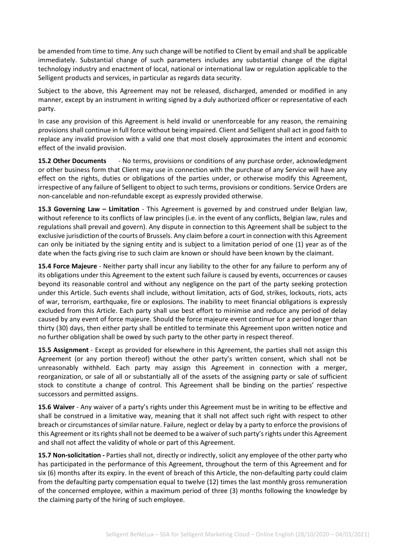be amended from time to time. Any such change will be notified to Client by email and shall be applicable immediately. Substantial change of such parameters includes any substantial change of the digital technology industry and enactment of local, national or international law or regulation applicable to the Selligent products and services, in particular as regards data security.

Subject to the above, this Agreement may not be released, discharged, amended or modified in any manner, except by an instrument in writing signed by a duly authorized officer or representative of each party.

In case any provision of this Agreement is held invalid or unenforceable for any reason, the remaining provisions shall continue in full force without being impaired. Client and Selligent shall act in good faith to replace any invalid provision with a valid one that most closely approximates the intent and economic effect of the invalid provision.

**15.2 Other Documents** - No terms, provisions or conditions of any purchase order, acknowledgment or other business form that Client may use in connection with the purchase of any Service will have any effect on the rights, duties or obligations of the parties under, or otherwise modify this Agreement, irrespective of any failure of Selligent to object to such terms, provisions or conditions. Service Orders are non-cancelable and non-refundable except as expressly provided otherwise.

**15.3 Governing Law – Limitation** - This Agreement is governed by and construed under Belgian law, without reference to its conflicts of law principles (i.e. in the event of any conflicts, Belgian law, rules and regulations shall prevail and govern). Any dispute in connection to this Agreement shall be subject to the exclusive jurisdiction of the courts of Brussels. Any claim before a court in connection with this Agreement can only be initiated by the signing entity and is subject to a limitation period of one (1) year as of the date when the facts giving rise to such claim are known or should have been known by the claimant.

**15.4 Force Majeure** - Neither party shall incur any liability to the other for any failure to perform any of its obligations under this Agreement to the extent such failure is caused by events, occurrences or causes beyond its reasonable control and without any negligence on the part of the party seeking protection under this Article. Such events shall include, without limitation, acts of God, strikes, lockouts, riots, acts of war, terrorism, earthquake, fire or explosions. The inability to meet financial obligations is expressly excluded from this Article. Each party shall use best effort to minimise and reduce any period of delay caused by any event of force majeure. Should the force majeure event continue for a period longer than thirty (30) days, then either party shall be entitled to terminate this Agreement upon written notice and no further obligation shall be owed by such party to the other party in respect thereof.

**15.5 Assignment** - Except as provided for elsewhere in this Agreement, the parties shall not assign this Agreement (or any portion thereof) without the other party's written consent, which shall not be unreasonably withheld. Each party may assign this Agreement in connection with a merger, reorganization, or sale of all or substantially all of the assets of the assigning party or sale of sufficient stock to constitute a change of control. This Agreement shall be binding on the parties' respective successors and permitted assigns.

**15.6 Waiver** - Any waiver of a party's rights under this Agreement must be in writing to be effective and shall be construed in a limitative way, meaning that it shall not affect such right with respect to other breach or circumstances of similar nature. Failure, neglect or delay by a party to enforce the provisions of this Agreement or its rights shall not be deemed to be a waiver of such party's rights under this Agreement and shall not affect the validity of whole or part of this Agreement.

**15.7 Non-solicitation -** Parties shall not, directly or indirectly, solicit any employee of the other party who has participated in the performance of this Agreement, throughout the term of this Agreement and for six (6) months after its expiry. In the event of breach of this Article, the non-defaulting party could claim from the defaulting party compensation equal to twelve (12) times the last monthly gross remuneration of the concerned employee, within a maximum period of three (3) months following the knowledge by the claiming party of the hiring of such employee.